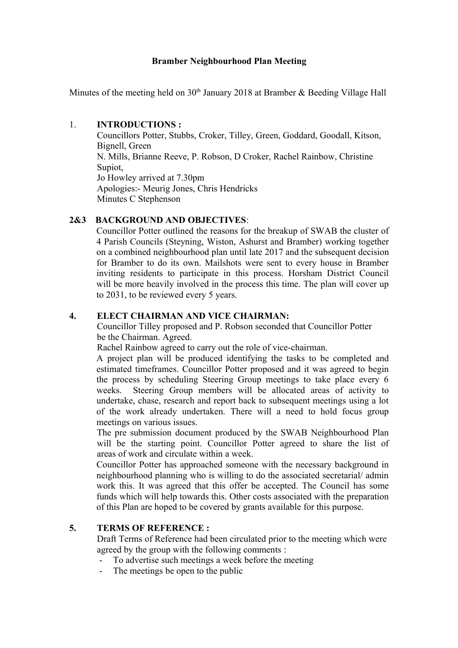### **Bramber Neighbourhood Plan Meeting**

Minutes of the meeting held on  $30<sup>th</sup>$  January 2018 at Bramber & Beeding Village Hall

#### 1. **INTRODUCTIONS :**

 Councillors Potter, Stubbs, Croker, Tilley, Green, Goddard, Goodall, Kitson, Bignell, Green N. Mills, Brianne Reeve, P. Robson, D Croker, Rachel Rainbow, Christine Supiot, Jo Howley arrived at 7.30pm Apologies:- Meurig Jones, Chris Hendricks Minutes C Stephenson

# **2&3 BACKGROUND AND OBJECTIVES**:

Councillor Potter outlined the reasons for the breakup of SWAB the cluster of 4 Parish Councils (Steyning, Wiston, Ashurst and Bramber) working together on a combined neighbourhood plan until late 2017 and the subsequent decision for Bramber to do its own. Mailshots were sent to every house in Bramber inviting residents to participate in this process. Horsham District Council will be more heavily involved in the process this time. The plan will cover up to 2031, to be reviewed every 5 years.

### **4. ELECT CHAIRMAN AND VICE CHAIRMAN:**

 Councillor Tilley proposed and P. Robson seconded that Councillor Potter be the Chairman. Agreed.

Rachel Rainbow agreed to carry out the role of vice-chairman.

A project plan will be produced identifying the tasks to be completed and estimated timeframes. Councillor Potter proposed and it was agreed to begin the process by scheduling Steering Group meetings to take place every 6 weeks. Steering Group members will be allocated areas of activity to undertake, chase, research and report back to subsequent meetings using a lot of the work already undertaken. There will a need to hold focus group meetings on various issues.

The pre submission document produced by the SWAB Neighbourhood Plan will be the starting point. Councillor Potter agreed to share the list of areas of work and circulate within a week.

Councillor Potter has approached someone with the necessary background in neighbourhood planning who is willing to do the associated secretarial/ admin work this. It was agreed that this offer be accepted. The Council has some funds which will help towards this. Other costs associated with the preparation of this Plan are hoped to be covered by grants available for this purpose.

# **5. TERMS OF REFERENCE :**

 Draft Terms of Reference had been circulated prior to the meeting which were agreed by the group with the following comments :

- To advertise such meetings a week before the meeting
- The meetings be open to the public